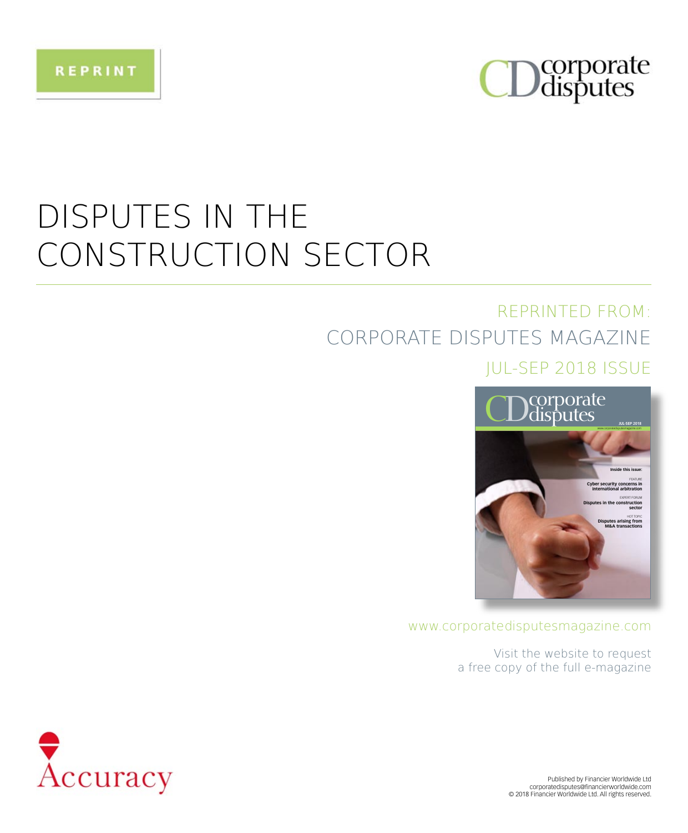

## **DISPUTES IN THE** CONSTRUCTION SECTOR

### **REPRINTED FROM:** CORPORATE DISPUTES MAGAZINE

#### **IUL-SEP 2018 ISSUE**



#### www.corporatedisputesmagazine.com

Visit the website to request a free copy of the full e-magazine

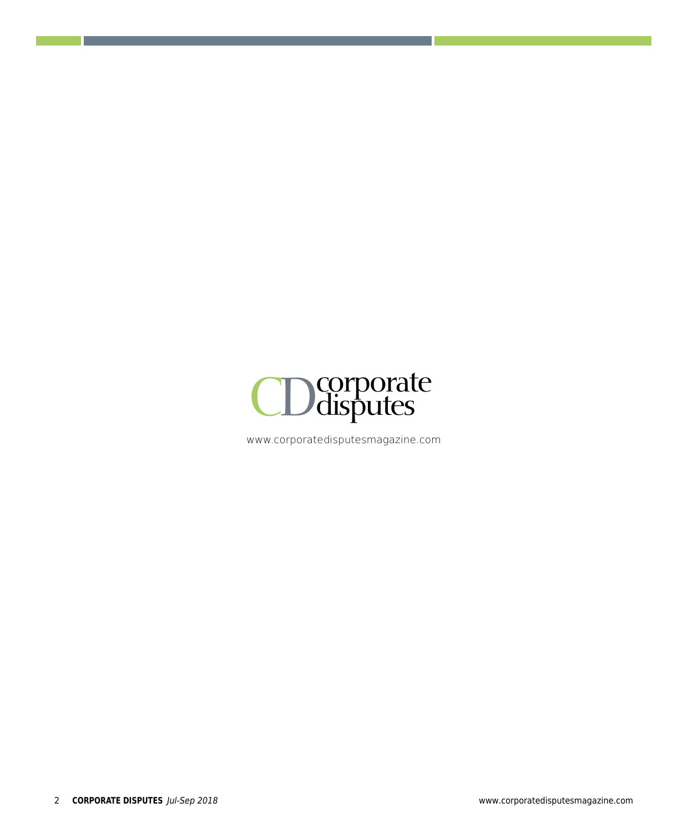

www.corporatedisputesmagazine.com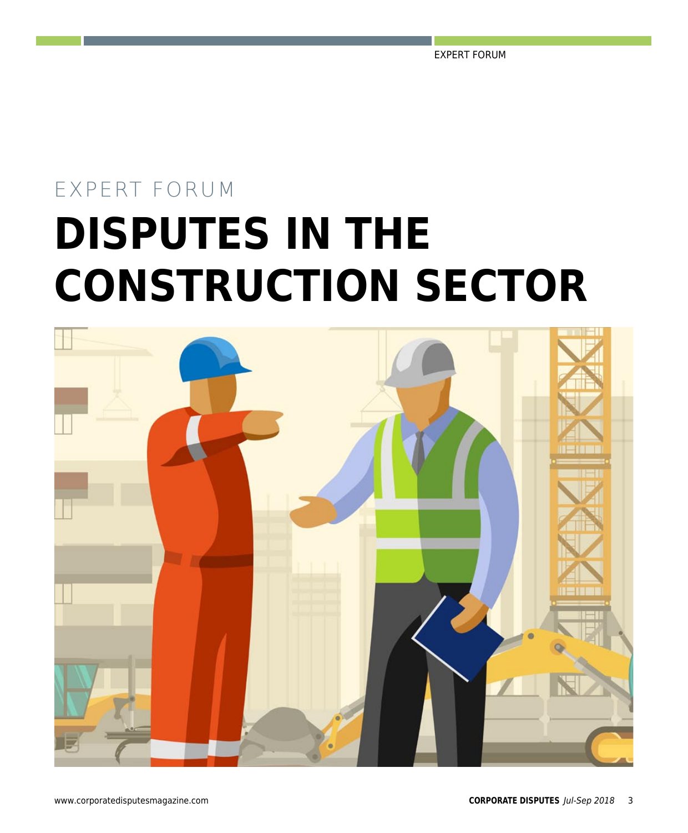EXPERT FORUM

# EXPERT FORUM **DISPUTES IN THE CONSTRUCTION SECTOR**

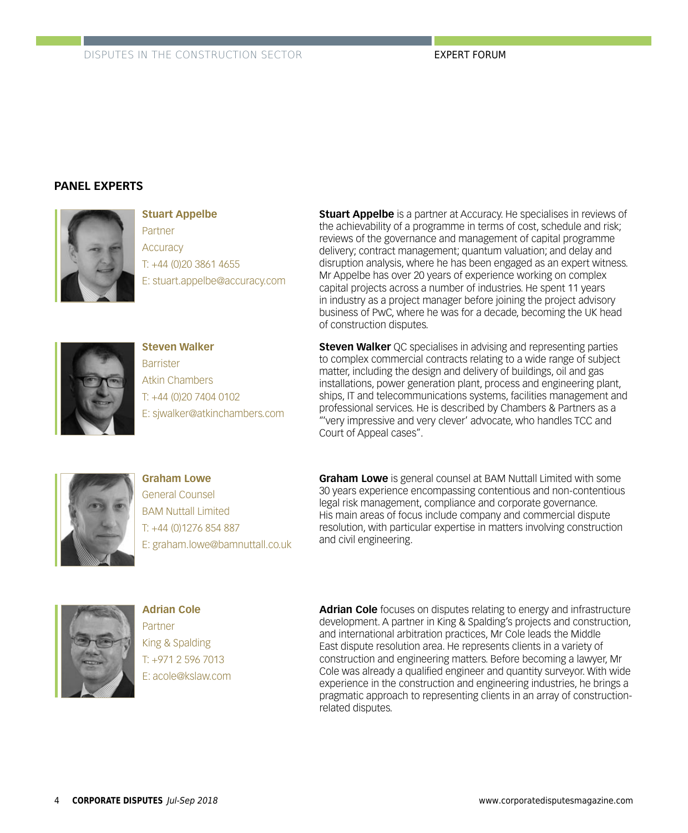#### **PANEL EXPERTS**



**Stuart Appelbe** Partner **Accuracy** T: +44 (0)20 3861 4655 E: stuart.appelbe@accuracy.com



**Steven Walker Barrister** Atkin Chambers T: +44 (0)20 7404 0102 E: sjwalker@atkinchambers.com **Stuart Appelbe** is a partner at Accuracy. He specialises in reviews of the achievability of a programme in terms of cost, schedule and risk; reviews of the governance and management of capital programme delivery; contract management; quantum valuation; and delay and disruption analysis, where he has been engaged as an expert witness. Mr Appelbe has over 20 years of experience working on complex capital projects across a number of industries. He spent 11 years in industry as a project manager before joining the project advisory business of PwC, where he was for a decade, becoming the UK head of construction disputes.

**Steven Walker** OC specialises in advising and representing parties to complex commercial contracts relating to a wide range of subject matter, including the design and delivery of buildings, oil and gas installations, power generation plant, process and engineering plant, ships, IT and telecommunications systems, facilities management and professional services. He is described by Chambers & Partners as a "'very impressive and very clever' advocate, who handles TCC and Court of Appeal cases".



**Graham Lowe** General Counsel BAM Nuttall Limited T: +44 (0)1276 854 887 E: graham.lowe@bamnuttall.co.uk **Graham Lowe** is general counsel at BAM Nuttall Limited with some 30 years experience encompassing contentious and non-contentious legal risk management, compliance and corporate governance. His main areas of focus include company and commercial dispute resolution, with particular expertise in matters involving construction and civil engineering.



**Adrian Cole** Partner King & Spalding T: +971 2 596 7013 E: acole@kslaw.com

**Adrian Cole** focuses on disputes relating to energy and infrastructure development. A partner in King & Spalding's projects and construction, and international arbitration practices, Mr Cole leads the Middle East dispute resolution area. He represents clients in a variety of construction and engineering matters. Before becoming a lawyer, Mr Cole was already a qualified engineer and quantity surveyor. With wide experience in the construction and engineering industries, he brings a pragmatic approach to representing clients in an array of constructionrelated disputes.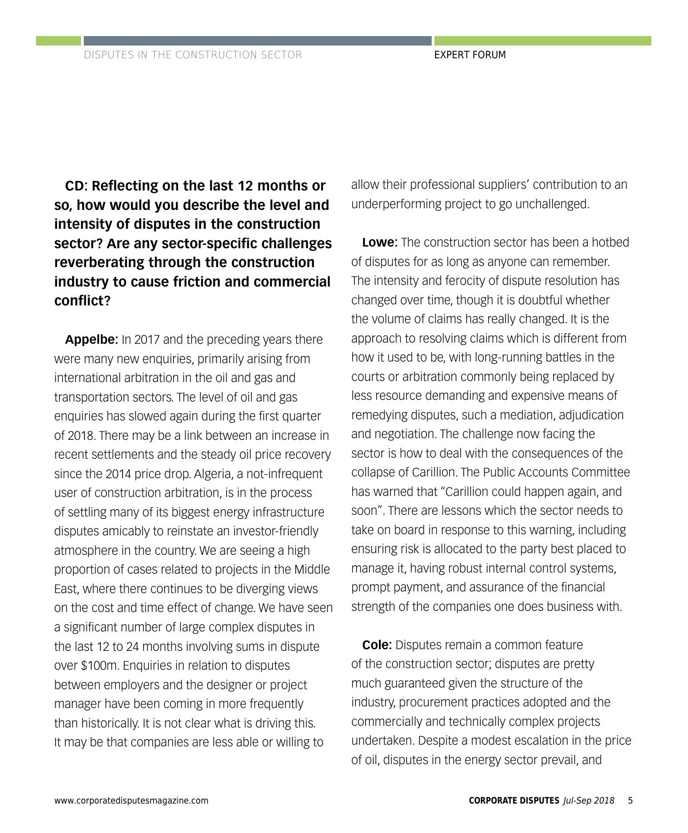**CD: Reflecting on the last 12 months or so, how would you describe the level and intensity of disputes in the construction sector? Are any sector-specific challenges reverberating through the construction industry to cause friction and commercial conflict?**

**Appelbe:** In 2017 and the preceding years there were many new enquiries, primarily arising from international arbitration in the oil and gas and transportation sectors. The level of oil and gas enquiries has slowed again during the first quarter of 2018. There may be a link between an increase in recent settlements and the steady oil price recovery since the 2014 price drop. Algeria, a not-infrequent user of construction arbitration, is in the process of settling many of its biggest energy infrastructure disputes amicably to reinstate an investor-friendly atmosphere in the country. We are seeing a high proportion of cases related to projects in the Middle East, where there continues to be diverging views on the cost and time effect of change. We have seen a significant number of large complex disputes in the last 12 to 24 months involving sums in dispute over \$100m. Enquiries in relation to disputes between employers and the designer or project manager have been coming in more frequently than historically. It is not clear what is driving this. It may be that companies are less able or willing to

allow their professional suppliers' contribution to an underperforming project to go unchallenged.

**Lowe:** The construction sector has been a hotbed of disputes for as long as anyone can remember. The intensity and ferocity of dispute resolution has changed over time, though it is doubtful whether the volume of claims has really changed. It is the approach to resolving claims which is different from how it used to be, with long-running battles in the courts or arbitration commonly being replaced by less resource demanding and expensive means of remedying disputes, such a mediation, adjudication and negotiation. The challenge now facing the sector is how to deal with the consequences of the collapse of Carillion. The Public Accounts Committee has warned that "Carillion could happen again, and soon". There are lessons which the sector needs to take on board in response to this warning, including ensuring risk is allocated to the party best placed to manage it, having robust internal control systems, prompt payment, and assurance of the financial strength of the companies one does business with.

**Cole:** Disputes remain a common feature of the construction sector; disputes are pretty much guaranteed given the structure of the industry, procurement practices adopted and the commercially and technically complex projects undertaken. Despite a modest escalation in the price of oil, disputes in the energy sector prevail, and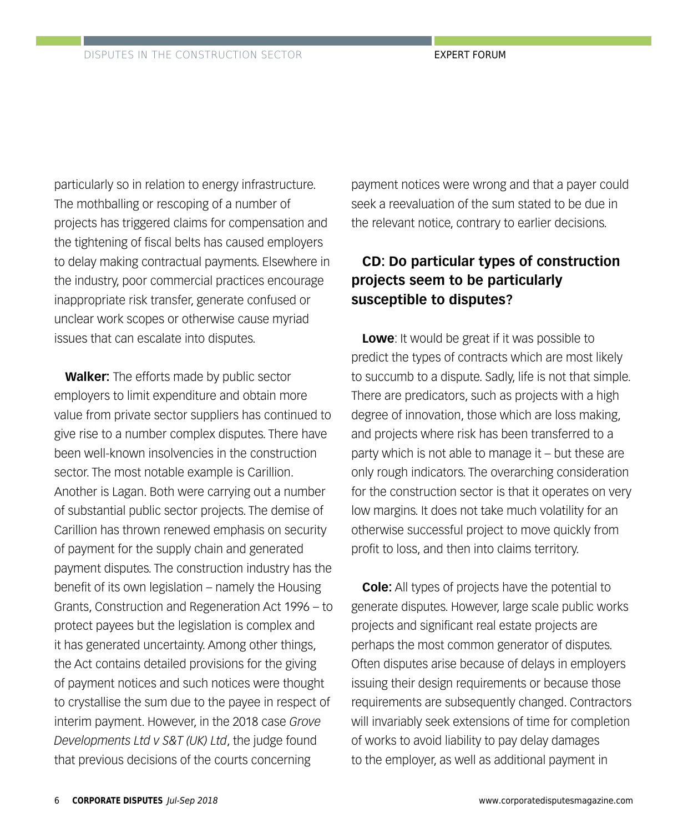particularly so in relation to energy infrastructure. The mothballing or rescoping of a number of projects has triggered claims for compensation and the tightening of fiscal belts has caused employers to delay making contractual payments. Elsewhere in the industry, poor commercial practices encourage inappropriate risk transfer, generate confused or unclear work scopes or otherwise cause myriad issues that can escalate into disputes.

**Walker:** The efforts made by public sector employers to limit expenditure and obtain more value from private sector suppliers has continued to give rise to a number complex disputes. There have been well-known insolvencies in the construction sector. The most notable example is Carillion. Another is Lagan. Both were carrying out a number of substantial public sector projects. The demise of Carillion has thrown renewed emphasis on security of payment for the supply chain and generated payment disputes. The construction industry has the benefit of its own legislation – namely the Housing Grants, Construction and Regeneration Act 1996 – to protect payees but the legislation is complex and it has generated uncertainty. Among other things, the Act contains detailed provisions for the giving of payment notices and such notices were thought to crystallise the sum due to the payee in respect of interim payment. However, in the 2018 case *Grove Developments Ltd v S&T (UK) Ltd*, the judge found that previous decisions of the courts concerning

payment notices were wrong and that a payer could seek a reevaluation of the sum stated to be due in the relevant notice, contrary to earlier decisions.

#### **CD: Do particular types of construction projects seem to be particularly susceptible to disputes?**

**Lowe**: It would be great if it was possible to predict the types of contracts which are most likely to succumb to a dispute. Sadly, life is not that simple. There are predicators, such as projects with a high degree of innovation, those which are loss making, and projects where risk has been transferred to a party which is not able to manage it – but these are only rough indicators. The overarching consideration for the construction sector is that it operates on very low margins. It does not take much volatility for an otherwise successful project to move quickly from profit to loss, and then into claims territory.

**Cole:** All types of projects have the potential to generate disputes. However, large scale public works projects and significant real estate projects are perhaps the most common generator of disputes. Often disputes arise because of delays in employers issuing their design requirements or because those requirements are subsequently changed. Contractors will invariably seek extensions of time for completion of works to avoid liability to pay delay damages to the employer, as well as additional payment in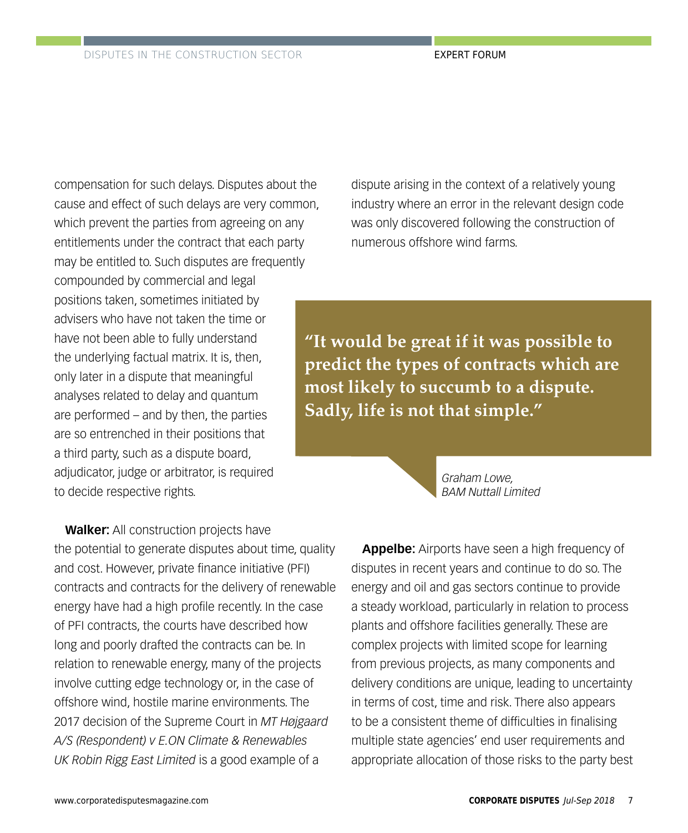compensation for such delays. Disputes about the cause and effect of such delays are very common, which prevent the parties from agreeing on any entitlements under the contract that each party may be entitled to. Such disputes are frequently compounded by commercial and legal positions taken, sometimes initiated by advisers who have not taken the time or have not been able to fully understand the underlying factual matrix. It is, then, only later in a dispute that meaningful analyses related to delay and quantum are performed – and by then, the parties are so entrenched in their positions that a third party, such as a dispute board, adjudicator, judge or arbitrator, is required to decide respective rights.

**Walker:** All construction projects have the potential to generate disputes about time, quality and cost. However, private finance initiative (PFI) contracts and contracts for the delivery of renewable energy have had a high profile recently. In the case of PFI contracts, the courts have described how long and poorly drafted the contracts can be. In relation to renewable energy, many of the projects involve cutting edge technology or, in the case of offshore wind, hostile marine environments. The 2017 decision of the Supreme Court in *MT Højgaard A/S (Respondent) v E.ON Climate & Renewables UK Robin Rigg East Limited* is a good example of a

dispute arising in the context of a relatively young industry where an error in the relevant design code was only discovered following the construction of numerous offshore wind farms.

**"It would be great if it was possible to predict the types of contracts which are most likely to succumb to a dispute. Sadly, life is not that simple."**

> *Graham Lowe, BAM Nuttall Limited*

**Appelbe:** Airports have seen a high frequency of disputes in recent years and continue to do so. The energy and oil and gas sectors continue to provide a steady workload, particularly in relation to process plants and offshore facilities generally. These are complex projects with limited scope for learning from previous projects, as many components and delivery conditions are unique, leading to uncertainty in terms of cost, time and risk. There also appears to be a consistent theme of difficulties in finalising multiple state agencies' end user requirements and appropriate allocation of those risks to the party best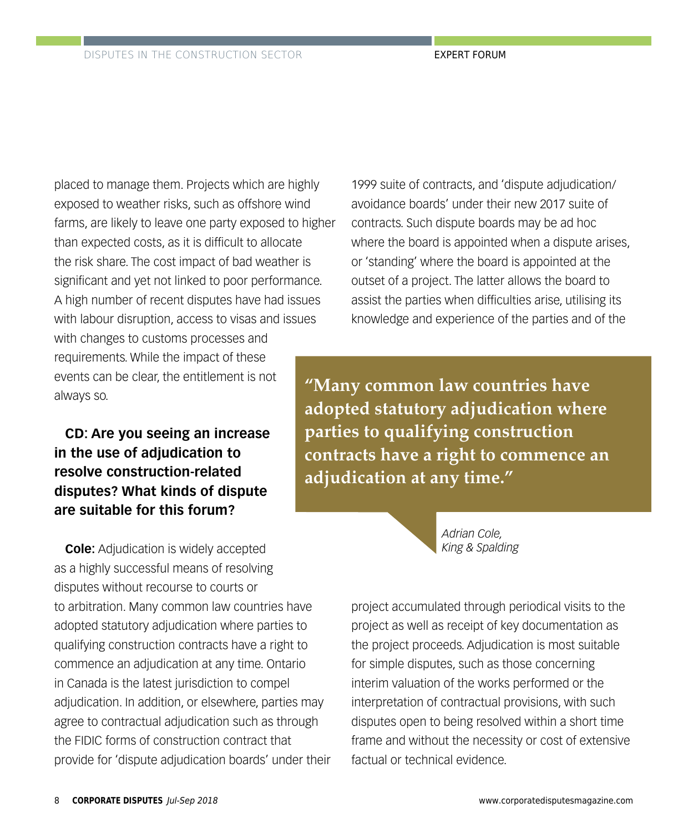placed to manage them. Projects which are highly exposed to weather risks, such as offshore wind farms, are likely to leave one party exposed to higher than expected costs, as it is difficult to allocate the risk share. The cost impact of bad weather is significant and yet not linked to poor performance. A high number of recent disputes have had issues with labour disruption, access to visas and issues with changes to customs processes and requirements. While the impact of these events can be clear, the entitlement is not always so.

**CD: Are you seeing an increase in the use of adjudication to resolve construction-related disputes? What kinds of dispute are suitable for this forum?**

**Cole:** Adjudication is widely accepted as a highly successful means of resolving disputes without recourse to courts or to arbitration. Many common law countries have adopted statutory adjudication where parties to qualifying construction contracts have a right to commence an adjudication at any time. Ontario in Canada is the latest jurisdiction to compel adjudication. In addition, or elsewhere, parties may agree to contractual adjudication such as through the FIDIC forms of construction contract that provide for 'dispute adjudication boards' under their

1999 suite of contracts, and 'dispute adjudication/ avoidance boards' under their new 2017 suite of contracts. Such dispute boards may be ad hoc where the board is appointed when a dispute arises, or 'standing' where the board is appointed at the outset of a project. The latter allows the board to assist the parties when difficulties arise, utilising its knowledge and experience of the parties and of the

**"Many common law countries have adopted statutory adjudication where parties to qualifying construction contracts have a right to commence an adjudication at any time."**



project accumulated through periodical visits to the project as well as receipt of key documentation as the project proceeds. Adjudication is most suitable for simple disputes, such as those concerning interim valuation of the works performed or the interpretation of contractual provisions, with such disputes open to being resolved within a short time frame and without the necessity or cost of extensive factual or technical evidence.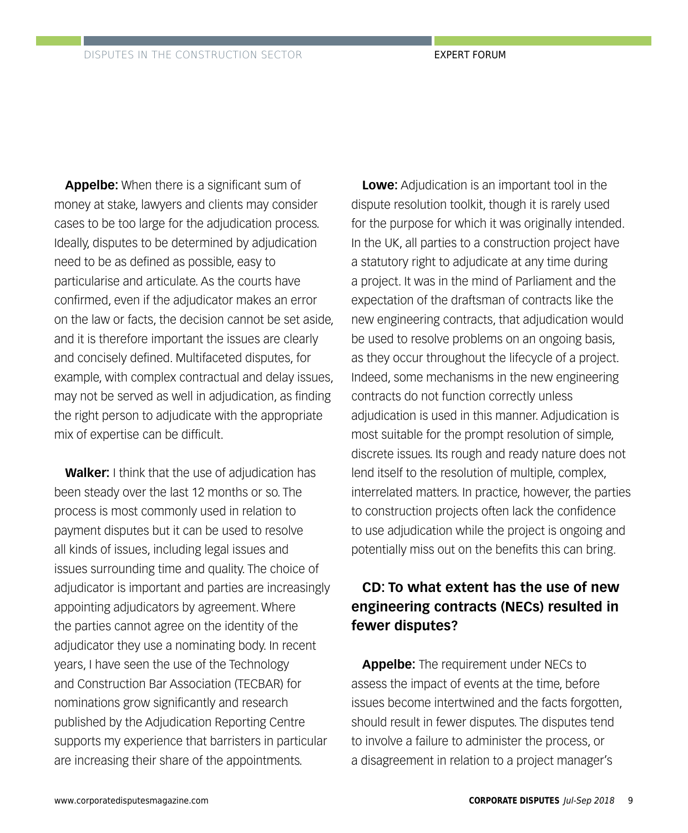**Appelbe:** When there is a significant sum of money at stake, lawyers and clients may consider cases to be too large for the adjudication process. Ideally, disputes to be determined by adjudication need to be as defined as possible, easy to particularise and articulate. As the courts have confirmed, even if the adjudicator makes an error on the law or facts, the decision cannot be set aside, and it is therefore important the issues are clearly and concisely defined. Multifaceted disputes, for example, with complex contractual and delay issues, may not be served as well in adjudication, as finding the right person to adjudicate with the appropriate mix of expertise can be difficult.

**Walker:** I think that the use of adjudication has been steady over the last 12 months or so. The process is most commonly used in relation to payment disputes but it can be used to resolve all kinds of issues, including legal issues and issues surrounding time and quality. The choice of adjudicator is important and parties are increasingly appointing adjudicators by agreement. Where the parties cannot agree on the identity of the adjudicator they use a nominating body. In recent years, I have seen the use of the Technology and Construction Bar Association (TECBAR) for nominations grow significantly and research published by the Adjudication Reporting Centre supports my experience that barristers in particular are increasing their share of the appointments.

**Lowe:** Adjudication is an important tool in the dispute resolution toolkit, though it is rarely used for the purpose for which it was originally intended. In the UK, all parties to a construction project have a statutory right to adjudicate at any time during a project. It was in the mind of Parliament and the expectation of the draftsman of contracts like the new engineering contracts, that adjudication would be used to resolve problems on an ongoing basis, as they occur throughout the lifecycle of a project. Indeed, some mechanisms in the new engineering contracts do not function correctly unless adjudication is used in this manner. Adjudication is most suitable for the prompt resolution of simple, discrete issues. Its rough and ready nature does not lend itself to the resolution of multiple, complex, interrelated matters. In practice, however, the parties to construction projects often lack the confidence to use adjudication while the project is ongoing and potentially miss out on the benefits this can bring.

#### **CD: To what extent has the use of new engineering contracts (NECs) resulted in fewer disputes?**

**Appelbe:** The requirement under NECs to assess the impact of events at the time, before issues become intertwined and the facts forgotten, should result in fewer disputes. The disputes tend to involve a failure to administer the process, or a disagreement in relation to a project manager's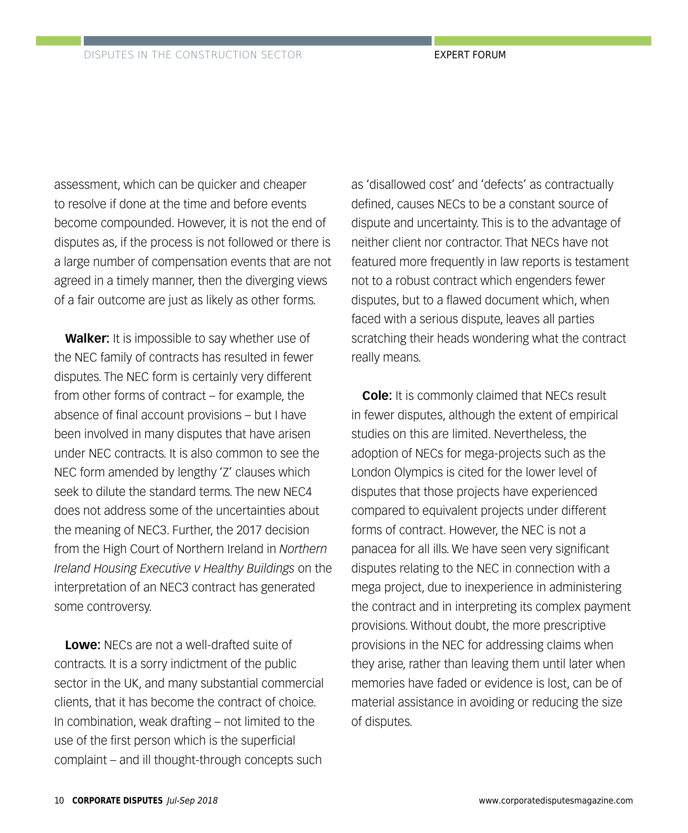assessment, which can be quicker and cheaper to resolve if done at the time and before events become compounded. However, it is not the end of disputes as, if the process is not followed or there is a large number of compensation events that are not agreed in a timely manner, then the diverging views of a fair outcome are just as likely as other forms.

**Walker:** It is impossible to say whether use of the NEC family of contracts has resulted in fewer disputes. The NEC form is certainly very different from other forms of contract – for example, the absence of final account provisions – but I have been involved in many disputes that have arisen under NEC contracts. It is also common to see the NEC form amended by lengthy 'Z' clauses which seek to dilute the standard terms. The new NEC4 does not address some of the uncertainties about the meaning of NEC3. Further, the 2017 decision from the High Court of Northern Ireland in *Northern Ireland Housing Executive v Healthy Buildings* on the interpretation of an NEC3 contract has generated some controversy.

**Lowe:** NECs are not a well-drafted suite of contracts. It is a sorry indictment of the public sector in the UK, and many substantial commercial clients, that it has become the contract of choice. In combination, weak drafting – not limited to the use of the first person which is the superficial complaint – and ill thought-through concepts such

as 'disallowed cost' and 'defects' as contractually defined, causes NECs to be a constant source of dispute and uncertainty. This is to the advantage of neither client nor contractor. That NECs have not featured more frequently in law reports is testament not to a robust contract which engenders fewer disputes, but to a flawed document which, when faced with a serious dispute, leaves all parties scratching their heads wondering what the contract really means.

**Cole:** It is commonly claimed that NECs result in fewer disputes, although the extent of empirical studies on this are limited. Nevertheless, the adoption of NECs for mega-projects such as the London Olympics is cited for the lower level of disputes that those projects have experienced compared to equivalent projects under different forms of contract. However, the NEC is not a panacea for all ills. We have seen very significant disputes relating to the NEC in connection with a mega project, due to inexperience in administering the contract and in interpreting its complex payment provisions. Without doubt, the more prescriptive provisions in the NEC for addressing claims when they arise, rather than leaving them until later when memories have faded or evidence is lost, can be of material assistance in avoiding or reducing the size of disputes.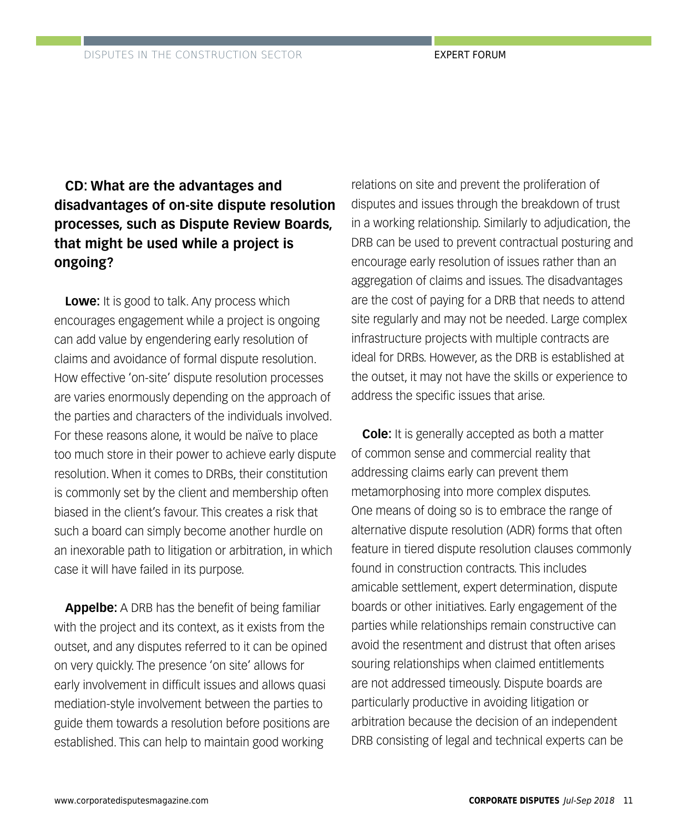#### **CD: What are the advantages and disadvantages of on-site dispute resolution processes, such as Dispute Review Boards, that might be used while a project is ongoing?**

**Lowe:** It is good to talk. Any process which encourages engagement while a project is ongoing can add value by engendering early resolution of claims and avoidance of formal dispute resolution. How effective 'on-site' dispute resolution processes are varies enormously depending on the approach of the parties and characters of the individuals involved. For these reasons alone, it would be naïve to place too much store in their power to achieve early dispute resolution. When it comes to DRBs, their constitution is commonly set by the client and membership often biased in the client's favour. This creates a risk that such a board can simply become another hurdle on an inexorable path to litigation or arbitration, in which case it will have failed in its purpose.

**Appelbe:** A DRB has the benefit of being familiar with the project and its context, as it exists from the outset, and any disputes referred to it can be opined on very quickly. The presence 'on site' allows for early involvement in difficult issues and allows quasi mediation-style involvement between the parties to guide them towards a resolution before positions are established. This can help to maintain good working

relations on site and prevent the proliferation of disputes and issues through the breakdown of trust in a working relationship. Similarly to adjudication, the DRB can be used to prevent contractual posturing and encourage early resolution of issues rather than an aggregation of claims and issues. The disadvantages are the cost of paying for a DRB that needs to attend site regularly and may not be needed. Large complex infrastructure projects with multiple contracts are ideal for DRBs. However, as the DRB is established at the outset, it may not have the skills or experience to address the specific issues that arise.

**Cole:** It is generally accepted as both a matter of common sense and commercial reality that addressing claims early can prevent them metamorphosing into more complex disputes. One means of doing so is to embrace the range of alternative dispute resolution (ADR) forms that often feature in tiered dispute resolution clauses commonly found in construction contracts. This includes amicable settlement, expert determination, dispute boards or other initiatives. Early engagement of the parties while relationships remain constructive can avoid the resentment and distrust that often arises souring relationships when claimed entitlements are not addressed timeously. Dispute boards are particularly productive in avoiding litigation or arbitration because the decision of an independent DRB consisting of legal and technical experts can be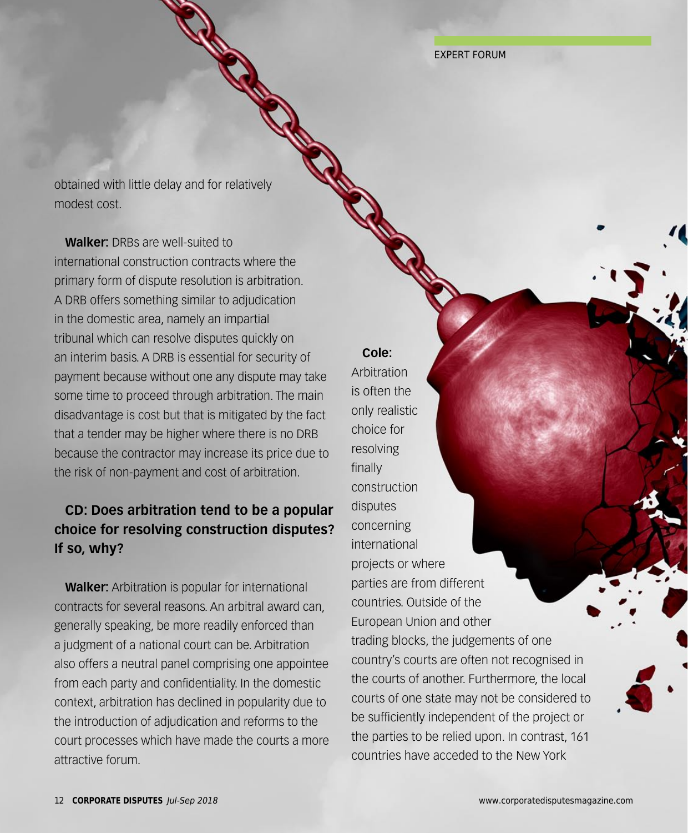EXPERT FORUM

obtained with little delay and for relatively modest cost.

DISPUTES IN THE CONSTRUCTION SECTOR

**Walker:** DRBs are well-suited to international construction contracts where the primary form of dispute resolution is arbitration. A DRB offers something similar to adjudication in the domestic area, namely an impartial tribunal which can resolve disputes quickly on an interim basis. A DRB is essential for security of payment because without one any dispute may take some time to proceed through arbitration. The main disadvantage is cost but that is mitigated by the fact that a tender may be higher where there is no DRB because the contractor may increase its price due to the risk of non-payment and cost of arbitration.

#### **CD: Does arbitration tend to be a popular choice for resolving construction disputes? If so, why?**

**Walker:** Arbitration is popular for international contracts for several reasons. An arbitral award can, generally speaking, be more readily enforced than a judgment of a national court can be. Arbitration also offers a neutral panel comprising one appointee from each party and confidentiality. In the domestic context, arbitration has declined in popularity due to the introduction of adjudication and reforms to the court processes which have made the courts a more attractive forum.

## **Cole:**

Arbitration is often the only realistic choice for resolving finally construction disputes concerning international projects or where parties are from different countries. Outside of the European Union and other trading blocks, the judgements of one country's courts are often not recognised in the courts of another. Furthermore, the local courts of one state may not be considered to be sufficiently independent of the project or the parties to be relied upon. In contrast, 161 countries have acceded to the New York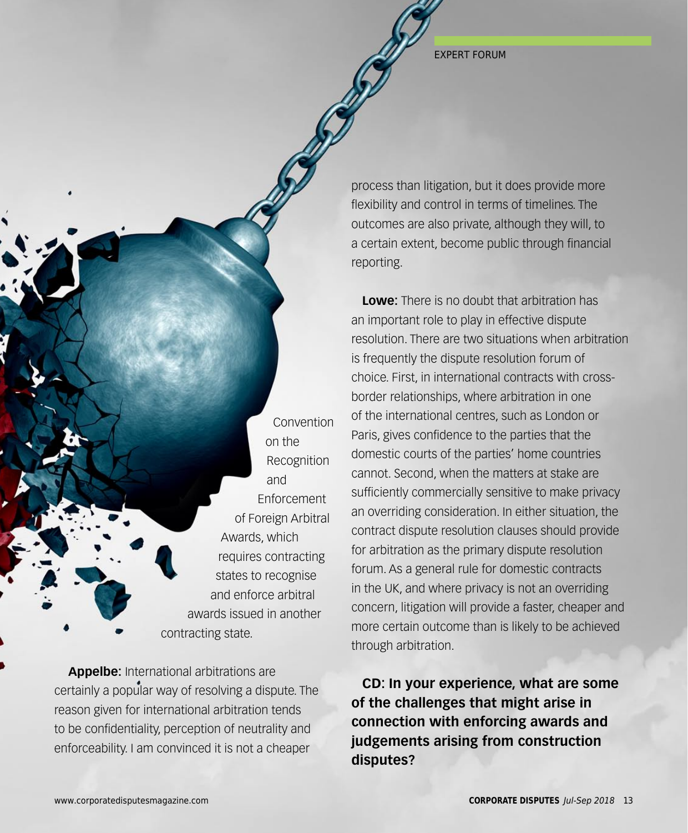EXPERT FORUM

process than litigation, but it does provide more flexibility and control in terms of timelines. The outcomes are also private, although they will, to a certain extent, become public through financial reporting.

**Lowe:** There is no doubt that arbitration has an important role to play in effective dispute resolution. There are two situations when arbitration is frequently the dispute resolution forum of choice. First, in international contracts with crossborder relationships, where arbitration in one of the international centres, such as London or Paris, gives confidence to the parties that the domestic courts of the parties' home countries cannot. Second, when the matters at stake are sufficiently commercially sensitive to make privacy an overriding consideration. In either situation, the contract dispute resolution clauses should provide for arbitration as the primary dispute resolution forum. As a general rule for domestic contracts in the UK, and where privacy is not an overriding concern, litigation will provide a faster, cheaper and more certain outcome than is likely to be achieved through arbitration.

**CD: In your experience, what are some of the challenges that might arise in connection with enforcing awards and judgements arising from construction disputes?**

Convention on the Recognition and **Enforcement** of Foreign Arbitral Awards, which requires contracting states to recognise and enforce arbitral awards issued in another contracting state.

**Appelbe:** International arbitrations are certainly a popular way of resolving a dispute. The reason given for international arbitration tends to be confidentiality, perception of neutrality and enforceability. I am convinced it is not a cheaper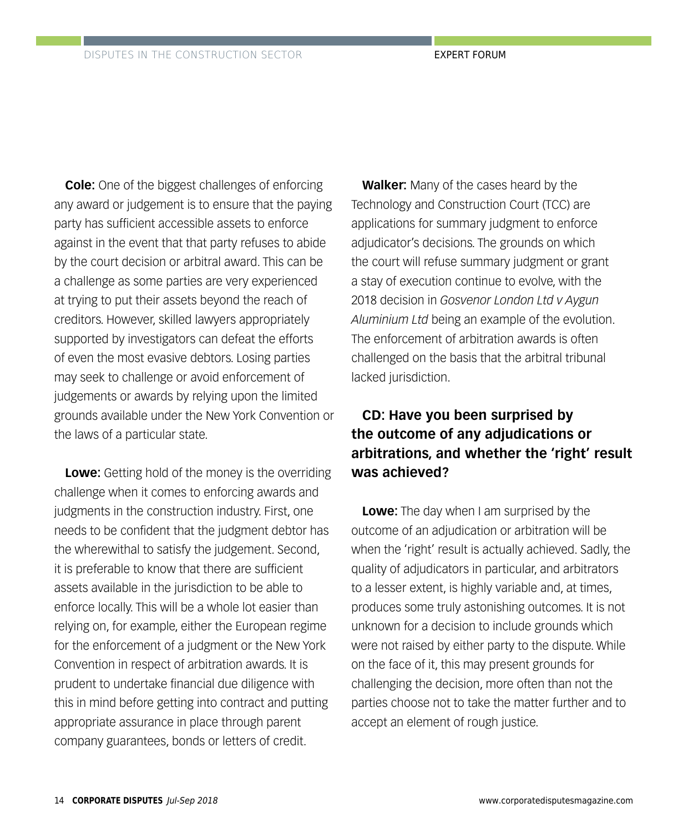**Cole:** One of the biggest challenges of enforcing any award or judgement is to ensure that the paying party has sufficient accessible assets to enforce against in the event that that party refuses to abide by the court decision or arbitral award. This can be a challenge as some parties are very experienced at trying to put their assets beyond the reach of creditors. However, skilled lawyers appropriately supported by investigators can defeat the efforts of even the most evasive debtors. Losing parties may seek to challenge or avoid enforcement of judgements or awards by relying upon the limited grounds available under the New York Convention or the laws of a particular state.

**Lowe:** Getting hold of the money is the overriding challenge when it comes to enforcing awards and judgments in the construction industry. First, one needs to be confident that the judgment debtor has the wherewithal to satisfy the judgement. Second, it is preferable to know that there are sufficient assets available in the jurisdiction to be able to enforce locally. This will be a whole lot easier than relying on, for example, either the European regime for the enforcement of a judgment or the New York Convention in respect of arbitration awards. It is prudent to undertake financial due diligence with this in mind before getting into contract and putting appropriate assurance in place through parent company guarantees, bonds or letters of credit.

**Walker:** Many of the cases heard by the Technology and Construction Court (TCC) are applications for summary judgment to enforce adjudicator's decisions. The grounds on which the court will refuse summary judgment or grant a stay of execution continue to evolve, with the 2018 decision in *Gosvenor London Ltd v Aygun Aluminium Ltd* being an example of the evolution. The enforcement of arbitration awards is often challenged on the basis that the arbitral tribunal lacked jurisdiction.

#### **CD: Have you been surprised by the outcome of any adjudications or arbitrations, and whether the 'right' result was achieved?**

**Lowe:** The day when I am surprised by the outcome of an adjudication or arbitration will be when the 'right' result is actually achieved. Sadly, the quality of adjudicators in particular, and arbitrators to a lesser extent, is highly variable and, at times, produces some truly astonishing outcomes. It is not unknown for a decision to include grounds which were not raised by either party to the dispute. While on the face of it, this may present grounds for challenging the decision, more often than not the parties choose not to take the matter further and to accept an element of rough justice.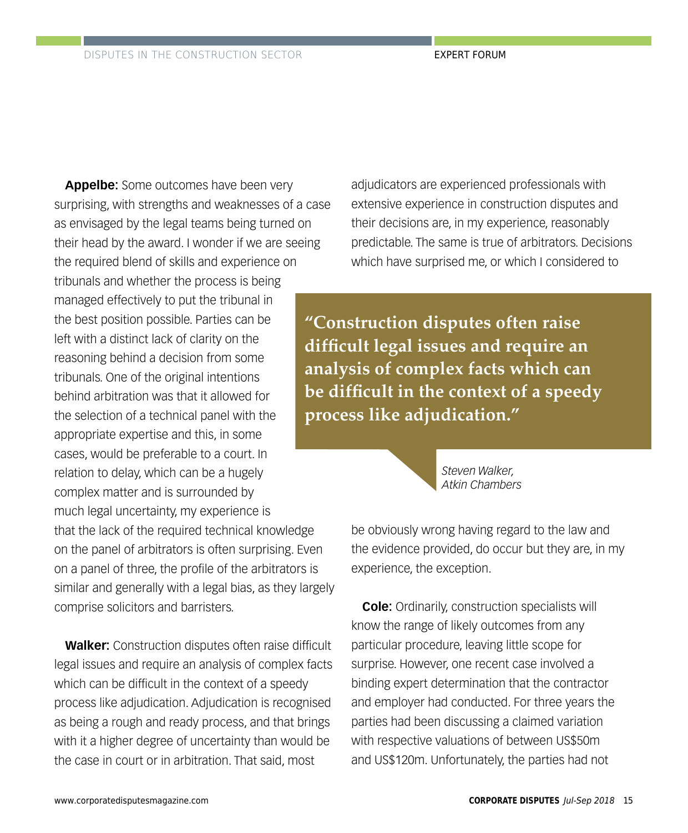**Appelbe:** Some outcomes have been very surprising, with strengths and weaknesses of a case as envisaged by the legal teams being turned on their head by the award. I wonder if we are seeing the required blend of skills and experience on tribunals and whether the process is being managed effectively to put the tribunal in the best position possible. Parties can be left with a distinct lack of clarity on the reasoning behind a decision from some tribunals. One of the original intentions behind arbitration was that it allowed for the selection of a technical panel with the appropriate expertise and this, in some cases, would be preferable to a court. In relation to delay, which can be a hugely complex matter and is surrounded by much legal uncertainty, my experience is that the lack of the required technical knowledge on the panel of arbitrators is often surprising. Even on a panel of three, the profile of the arbitrators is similar and generally with a legal bias, as they largely comprise solicitors and barristers.

**Walker:** Construction disputes often raise difficult legal issues and require an analysis of complex facts which can be difficult in the context of a speedy process like adjudication. Adjudication is recognised as being a rough and ready process, and that brings with it a higher degree of uncertainty than would be the case in court or in arbitration. That said, most

adjudicators are experienced professionals with extensive experience in construction disputes and their decisions are, in my experience, reasonably predictable. The same is true of arbitrators. Decisions which have surprised me, or which I considered to

**"Construction disputes often raise difficult legal issues and require an analysis of complex facts which can be difficult in the context of a speedy process like adjudication."**

> *Steven Walker, Atkin Chambers*

be obviously wrong having regard to the law and the evidence provided, do occur but they are, in my experience, the exception.

**Cole:** Ordinarily, construction specialists will know the range of likely outcomes from any particular procedure, leaving little scope for surprise. However, one recent case involved a binding expert determination that the contractor and employer had conducted. For three years the parties had been discussing a claimed variation with respective valuations of between US\$50m and US\$120m. Unfortunately, the parties had not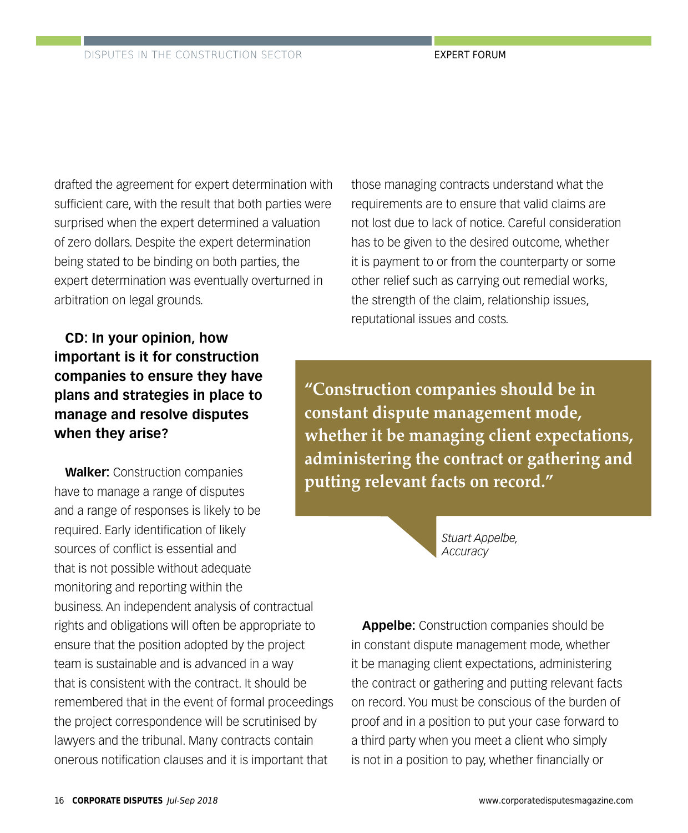drafted the agreement for expert determination with sufficient care, with the result that both parties were surprised when the expert determined a valuation of zero dollars. Despite the expert determination being stated to be binding on both parties, the expert determination was eventually overturned in arbitration on legal grounds.

**CD: In your opinion, how important is it for construction companies to ensure they have plans and strategies in place to manage and resolve disputes when they arise?**

**Walker:** Construction companies have to manage a range of disputes and a range of responses is likely to be required. Early identification of likely sources of conflict is essential and that is not possible without adequate monitoring and reporting within the business. An independent analysis of contractual rights and obligations will often be appropriate to ensure that the position adopted by the project team is sustainable and is advanced in a way that is consistent with the contract. It should be remembered that in the event of formal proceedings the project correspondence will be scrutinised by lawyers and the tribunal. Many contracts contain onerous notification clauses and it is important that

those managing contracts understand what the requirements are to ensure that valid claims are not lost due to lack of notice. Careful consideration has to be given to the desired outcome, whether it is payment to or from the counterparty or some other relief such as carrying out remedial works, the strength of the claim, relationship issues, reputational issues and costs.

**"Construction companies should be in constant dispute management mode, whether it be managing client expectations, administering the contract or gathering and putting relevant facts on record."**

> *Stuart Appelbe, Accuracy*

**Appelbe:** Construction companies should be in constant dispute management mode, whether it be managing client expectations, administering the contract or gathering and putting relevant facts on record. You must be conscious of the burden of proof and in a position to put your case forward to a third party when you meet a client who simply is not in a position to pay, whether financially or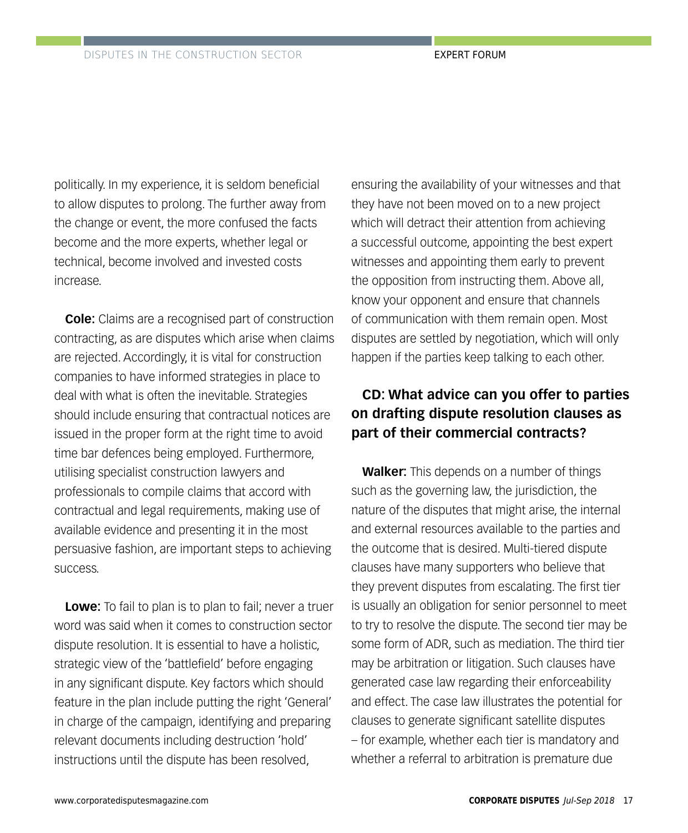politically. In my experience, it is seldom beneficial to allow disputes to prolong. The further away from the change or event, the more confused the facts become and the more experts, whether legal or technical, become involved and invested costs increase.

**Cole:** Claims are a recognised part of construction contracting, as are disputes which arise when claims are rejected. Accordingly, it is vital for construction companies to have informed strategies in place to deal with what is often the inevitable. Strategies should include ensuring that contractual notices are issued in the proper form at the right time to avoid time bar defences being employed. Furthermore, utilising specialist construction lawyers and professionals to compile claims that accord with contractual and legal requirements, making use of available evidence and presenting it in the most persuasive fashion, are important steps to achieving success.

**Lowe:** To fail to plan is to plan to fail; never a truer word was said when it comes to construction sector dispute resolution. It is essential to have a holistic, strategic view of the 'battlefield' before engaging in any significant dispute. Key factors which should feature in the plan include putting the right 'General' in charge of the campaign, identifying and preparing relevant documents including destruction 'hold' instructions until the dispute has been resolved,

ensuring the availability of your witnesses and that they have not been moved on to a new project which will detract their attention from achieving a successful outcome, appointing the best expert witnesses and appointing them early to prevent the opposition from instructing them. Above all, know your opponent and ensure that channels of communication with them remain open. Most disputes are settled by negotiation, which will only happen if the parties keep talking to each other.

#### **CD: What advice can you offer to parties on drafting dispute resolution clauses as part of their commercial contracts?**

**Walker:** This depends on a number of things such as the governing law, the jurisdiction, the nature of the disputes that might arise, the internal and external resources available to the parties and the outcome that is desired. Multi-tiered dispute clauses have many supporters who believe that they prevent disputes from escalating. The first tier is usually an obligation for senior personnel to meet to try to resolve the dispute. The second tier may be some form of ADR, such as mediation. The third tier may be arbitration or litigation. Such clauses have generated case law regarding their enforceability and effect. The case law illustrates the potential for clauses to generate significant satellite disputes – for example, whether each tier is mandatory and whether a referral to arbitration is premature due